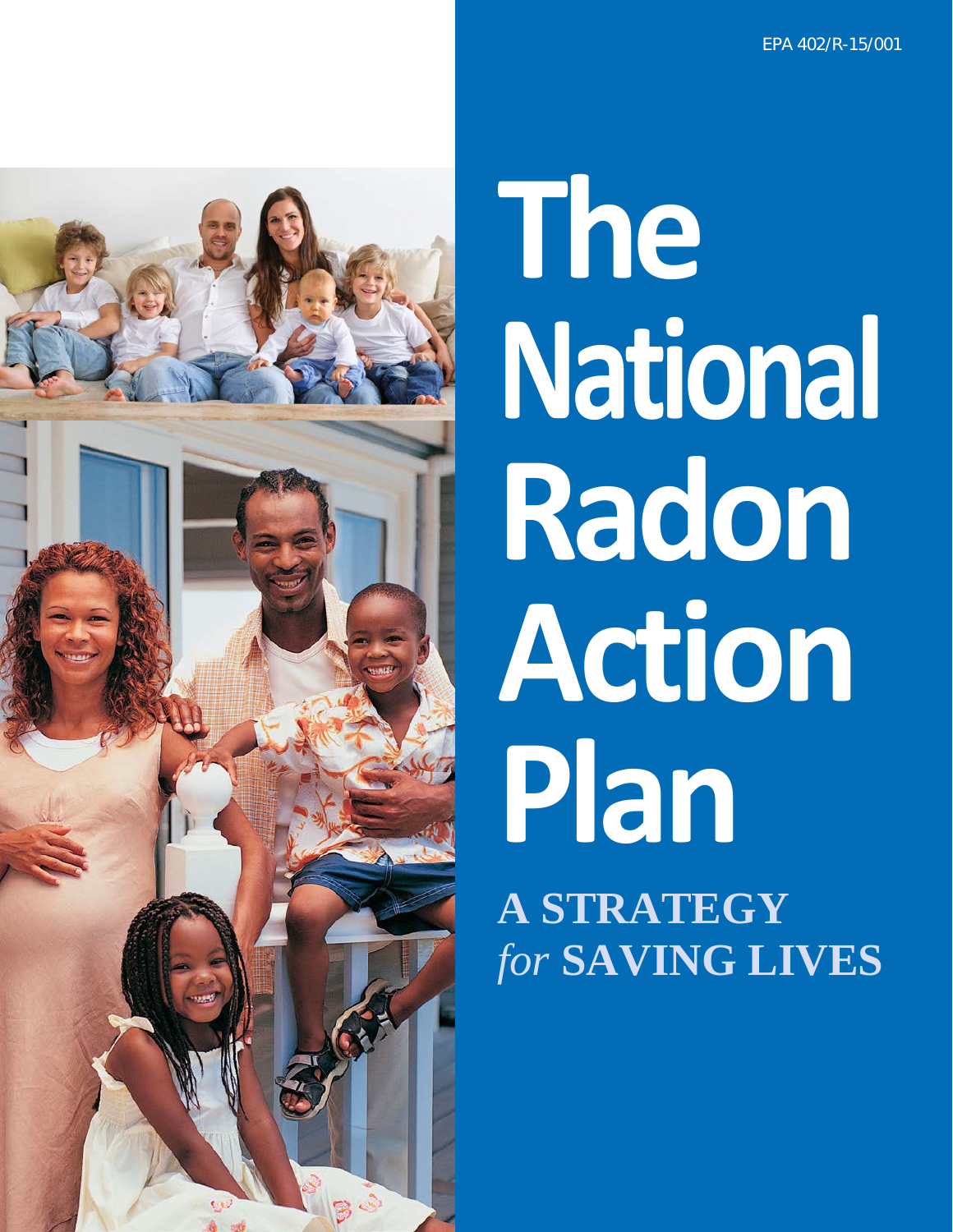

# **The National Radon Action Plan A STRATEGY** *for* **SAVING LIVES**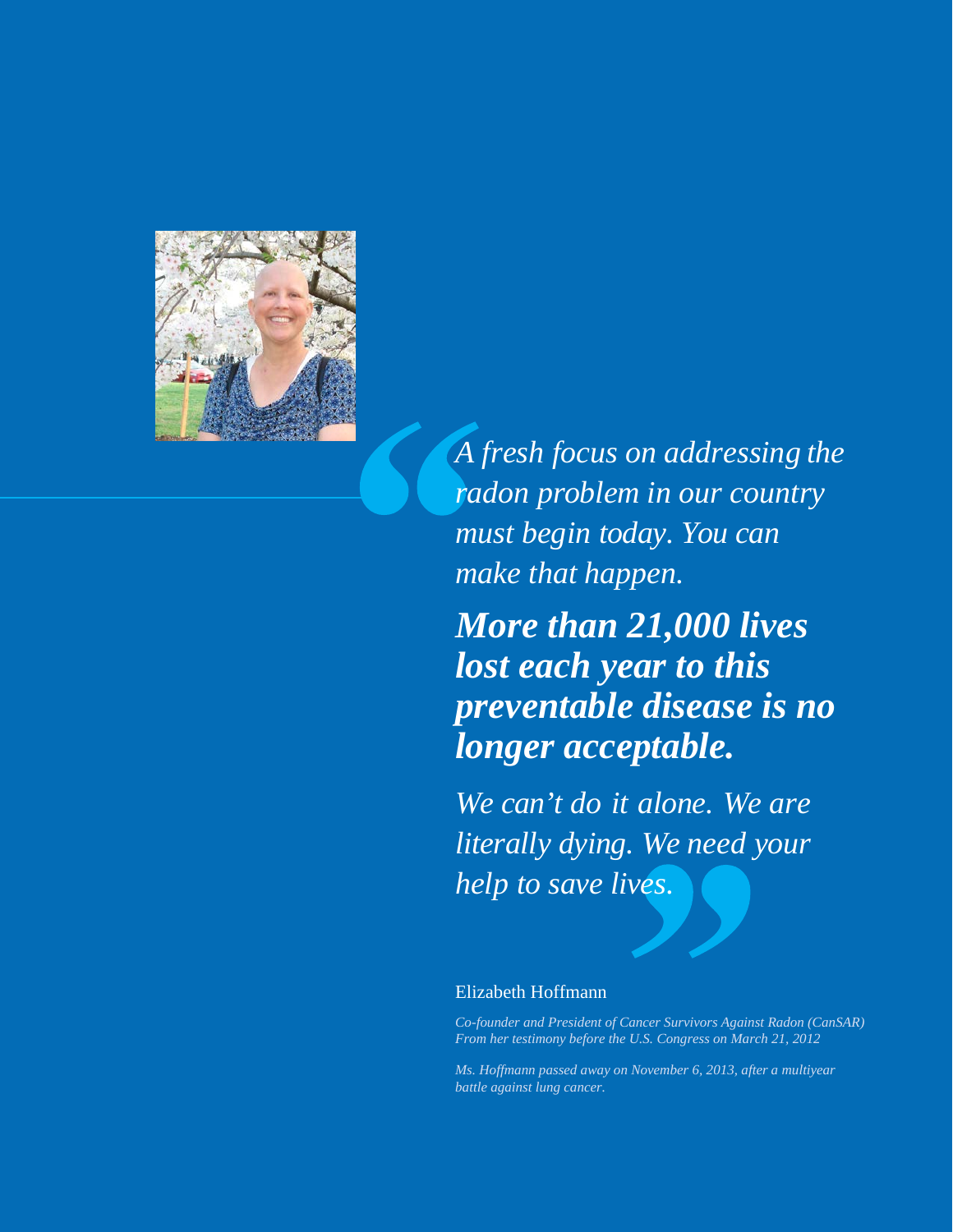

*A fresh focus on addressing the radon problem in our country must begin today. You can make that happen.*

### *More than 21,000 lives lost each year to this preventable disease is no longer acceptable.*

*We can't do it alone. We are literally dying. We need your help to save lives.*

#### Elizabeth Hoffmann

*Co-founder and President of Cancer Survivors Against Radon (CanSAR) From her testimony before the U.S. Congress on March 21, 2012*

*Ms. Hoffmann passed away on November 6, 2013, after a multiyear battle against lung cancer.*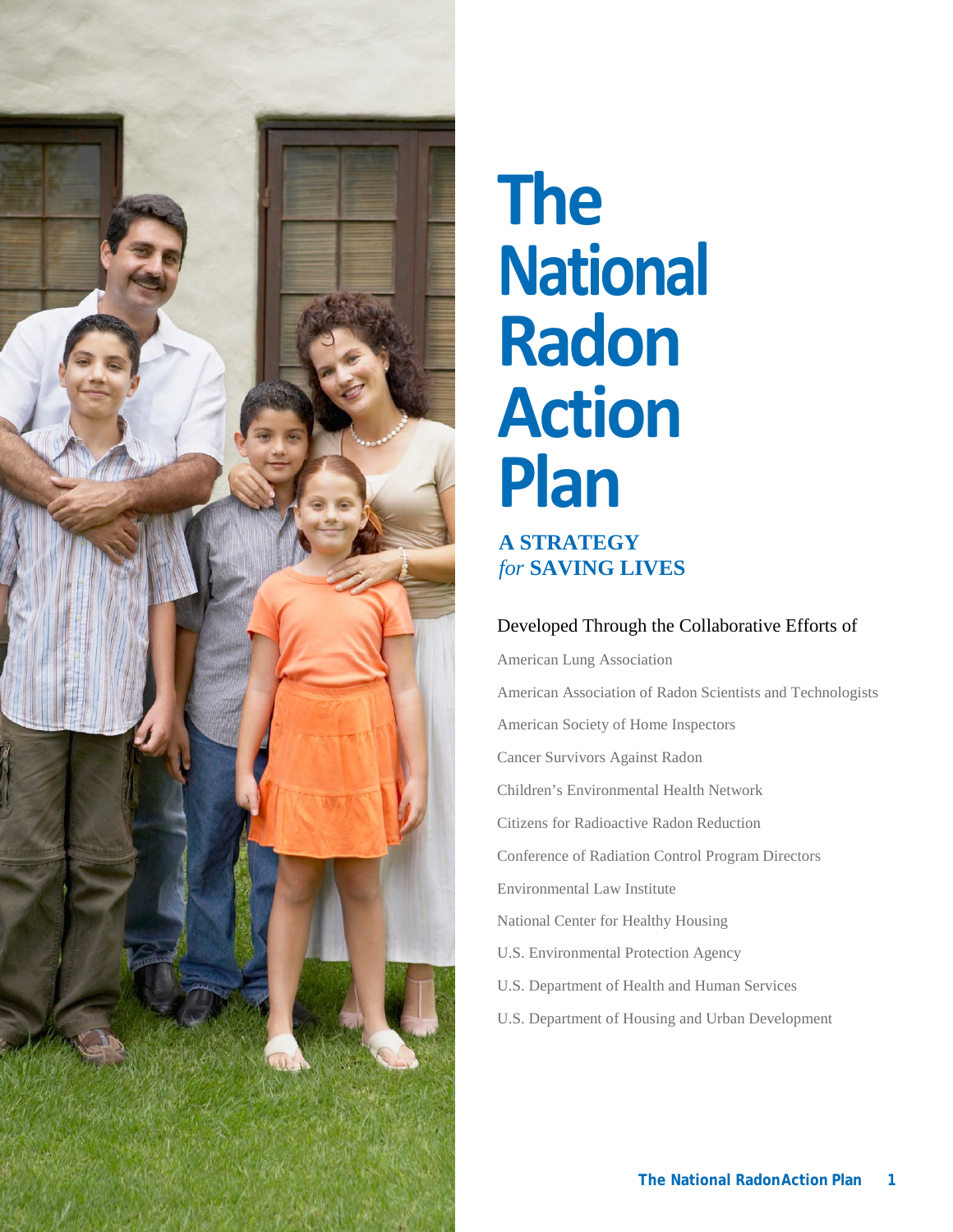

# **The National Radon Action Plan A STRATEGY** *for* **SAVING LIVES**

#### Developed Through the Collaborative Efforts of

American Lung Association American Association of Radon Scientists and Technologists American Society of Home Inspectors Cancer Survivors Against Radon Children's Environmental Health Network Citizens for Radioactive Radon Reduction Conference of Radiation Control Program Directors Environmental Law Institute National Center for Healthy Housing U.S. Environmental Protection Agency U.S. Department of Health and Human Services U.S. Department of Housing and Urban Development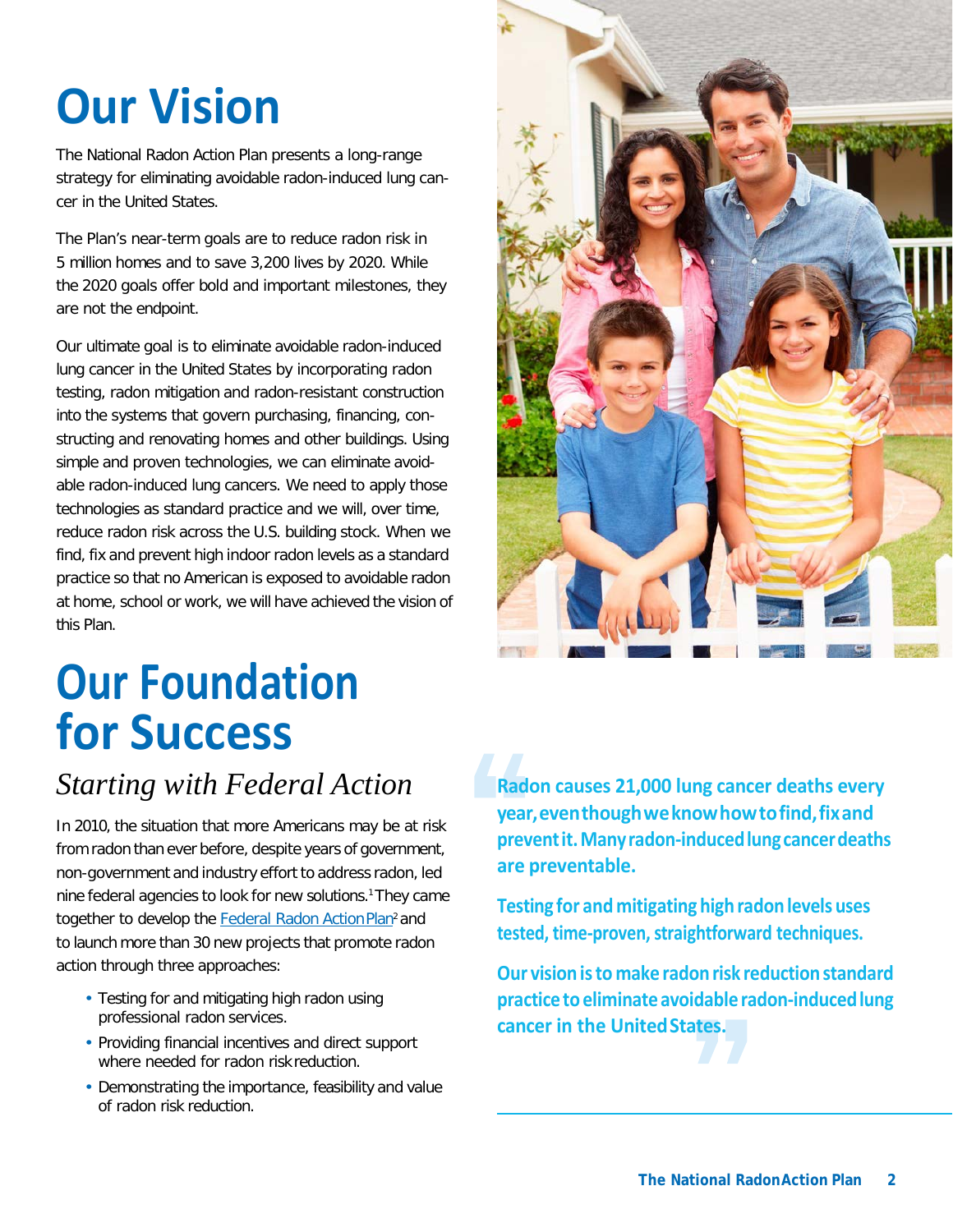# **Our Vision**

The National Radon Action Plan presents a long-range strategy for eliminating avoidable radon-induced lung cancer in the United States.

The Plan's near-term goals are to reduce radon risk in 5 million homes and to save 3,200 lives by 2020. While the 2020 goals offer bold and important milestones, they are not the endpoint.

Our ultimate goal is to eliminate avoidable radon-induced lung cancer in the United States by incorporating radon testing, radon mitigation and radon-resistant construction into the systems that govern purchasing, financing, constructing and renovating homes and other buildings. Using simple and proven technologies, we can eliminate avoidable radon-induced lung cancers. We need to apply those technologies as standard practice and we will, over time, reduce radon risk across the U.S. building stock. When we find, fix and prevent high indoor radon levels as a standard practice so that no American is exposed to avoidable radon at home, school or work, we will have achieved the vision of this Plan.

# **Our Foundation for Success**

### *Starting with Federal Action*

In 2010, the situation that more Americans may be at risk from radon than ever before, despite years of government, non-government and industry effort to address radon, led nine federal agencies to look for new solutions.1They came together to develop the Federal Radon Action Plan<sup>2</sup> and to launch more than 30 new projects that promote radon action through three approaches:

- Testing for and mitigating high radon using professional radon services.
- Providing financial incentives and direct support where needed for radon risk reduction.
- Demonstrating the importance, feasibility and value of radon risk reduction.

**Radon causes 21,000 lung cancer deaths every year,eventhoughweknowhowtofind,fixand preventit.Manyradon-inducedlungcancerdeaths are preventable.**

**Testing for and mitigating high radon levels uses tested, time-proven, straightforward techniques.**

**Our visionisto make radonrisk reductionstandard practice toeliminateavoidable radon-inducedlung cancer in the UnitedStates.**

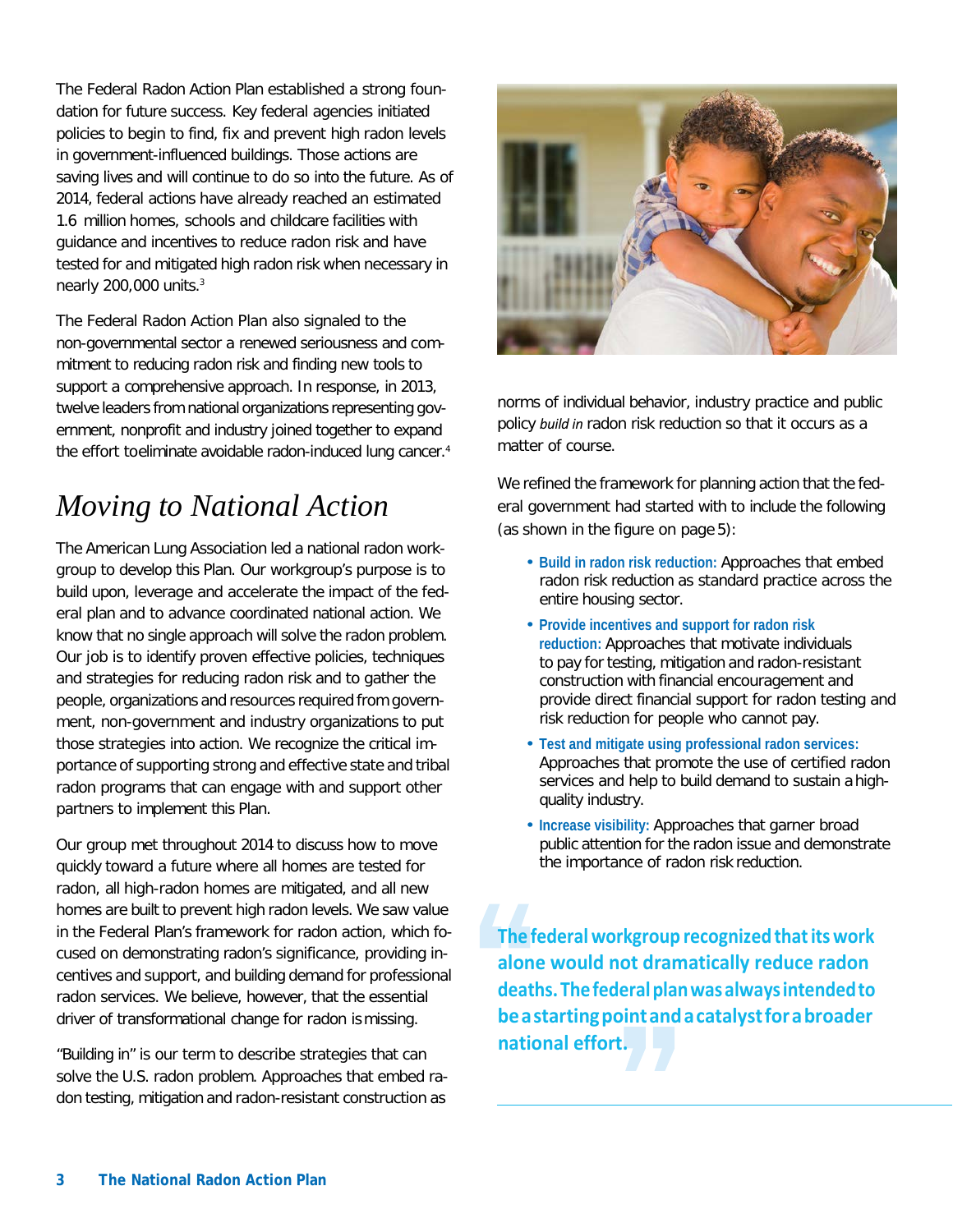The Federal Radon Action Plan established a strong foundation for future success. Key federal agencies initiated policies to begin to find, fix and prevent high radon levels in government-influenced buildings. Those actions are saving lives and will continue to do so into the future. As of 2014, federal actions have already reached an estimated 1.6 million homes, schools and childcare facilities with guidance and incentives to reduce radon risk and have tested for and mitigated high radon risk when necessary in nearly 200,000 units.3

The Federal Radon Action Plan also signaled to the non-governmental sector a renewed seriousness and commitment to reducing radon risk and finding new tools to support a comprehensive approach. In response, in 2013, twelve leaders from national organizations representing government, nonprofit and industry joined together to expand the effort toeliminate avoidable radon-induced lung cancer.<sup>4</sup>

### *Moving to National Action*

The American Lung Association led a national radon workgroup to develop this Plan. Our workgroup's purpose is to build upon, leverage and accelerate the impact of the federal plan and to advance coordinated national action. We know that no single approach will solve the radon problem. Our job is to identify proven effective policies, techniques and strategies for reducing radon risk and to gather the people, organizations and resources required from government, non-government and industry organizations to put those strategies into action. We recognize the critical importance of supporting strong and effective state and tribal radon programs that can engage with and support other partners to implement this Plan.

Our group met throughout 2014 to discuss how to move quickly toward a future where all homes are tested for radon, all high-radon homes are mitigated, and all new homes are built to prevent high radon levels. We saw value in the Federal Plan's framework for radon action, which focused on demonstrating radon's significance, providing incentives and support, and building demand for professional radon services. We believe, however, that the essential driver of transformational change for radon is missing.

"Building in" is our term to describe strategies that can solve the U.S. radon problem. Approaches that embed radon testing, mitigation and radon-resistant construction as



norms of individual behavior, industry practice and public policy *build in* radon risk reduction so that it occurs as a matter of course.

We refined the framework for planning action that the federal government had started with to include the following (as shown in the figure on page 5):

- **Build in radon risk reduction:** Approaches that embed radon risk reduction as standard practice across the entire housing sector.
- **Provide incentives and support for radon risk reduction:** Approaches that motivate individuals to pay for testing, mitigation and radon-resistant construction with financial encouragement and provide direct financial support for radon testing and risk reduction for people who cannot pay.
- **Test and mitigate using professional radon services:** Approaches that promote the use of certified radon services and help to build demand to sustain a highquality industry.
- **Increase visibility:** Approaches that garner broad public attention for the radon issue and demonstrate the importance of radon risk reduction.

**The federalworkgroup recognized thatitswork alone would not dramatically reduce radon deaths.Thefederalplanwasalwaysintendedto beastartingpointandacatalystforabroader national effort.**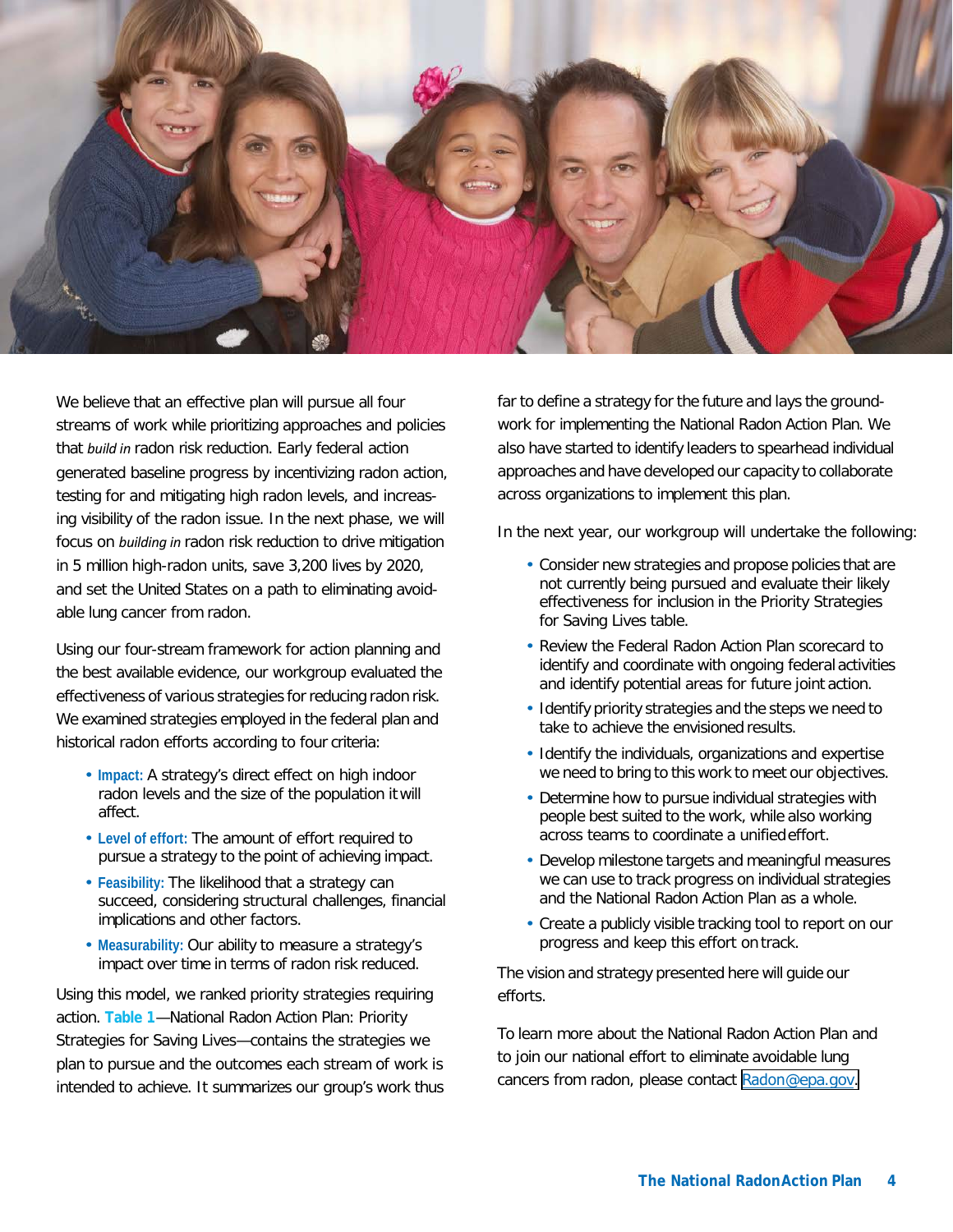

We believe that an effective plan will pursue all four streams of work while prioritizing approaches and policies that *build in* radon risk reduction. Early federal action generated baseline progress by incentivizing radon action, testing for and mitigating high radon levels, and increasing visibility of the radon issue. In the next phase, we will focus on *building in* radon risk reduction to drive mitigation in 5 million high-radon units, save 3,200 lives by 2020, and set the United States on a path to eliminating avoidable lung cancer from radon.

Using our four-stream framework for action planning and the best available evidence, our workgroup evaluated the effectiveness of various strategies for reducing radon risk. We examined strategies employed in the federal plan and historical radon efforts according to four criteria:

- **Impact:** A strategy's direct effect on high indoor radon levels and the size of the population it will affect.
- **Level of effort:** The amount of effort required to pursue a strategy to the point of achieving impact.
- **Feasibility:** The likelihood that a strategy can succeed, considering structural challenges, financial implications and other factors.
- **Measurability:** Our ability to measure a strategy's impact over time in terms of radon risk reduced.

Using this model, we ranked priority strategies requiring action. **Table 1**—National Radon Action Plan: Priority Strategies for Saving Lives—contains the strategies we plan to pursue and the outcomes each stream of work is intended to achieve. It summarizes our group's work thus

far to define a strategy for the future and lays the groundwork for implementing the National Radon Action Plan. We also have started to identify leaders to spearhead individual approaches and have developed our capacity to collaborate across organizations to implement this plan.

In the next year, our workgroup will undertake the following:

- Consider new strategies and propose policies that are not currently being pursued and evaluate their likely effectiveness for inclusion in the Priority Strategies for Saving Lives table.
- Review the Federal Radon Action Plan scorecard to identify and coordinate with ongoing federal activities and identify potential areas for future joint action.
- Identify priority strategies and the steps we need to take to achieve the envisioned results.
- Identify the individuals, organizations and expertise we need to bring to this work to meet our objectives.
- Determine how to pursue individual strategies with people best suited to the work, while also working across teams to coordinate a unifiedeffort.
- Develop milestone targets and meaningful measures we can use to track progress on individual strategies and the National Radon Action Plan as a whole.
- Create a publicly visible tracking tool to report on our progress and keep this effort on track.

The vision and strategy presented here will guide our efforts.

To learn more about the National Radon Action Plan and to join our national effort to eliminate avoidable lung cancers from radon, please contact Radon[@epa.gov.](mailto:NRAP@epa.gov)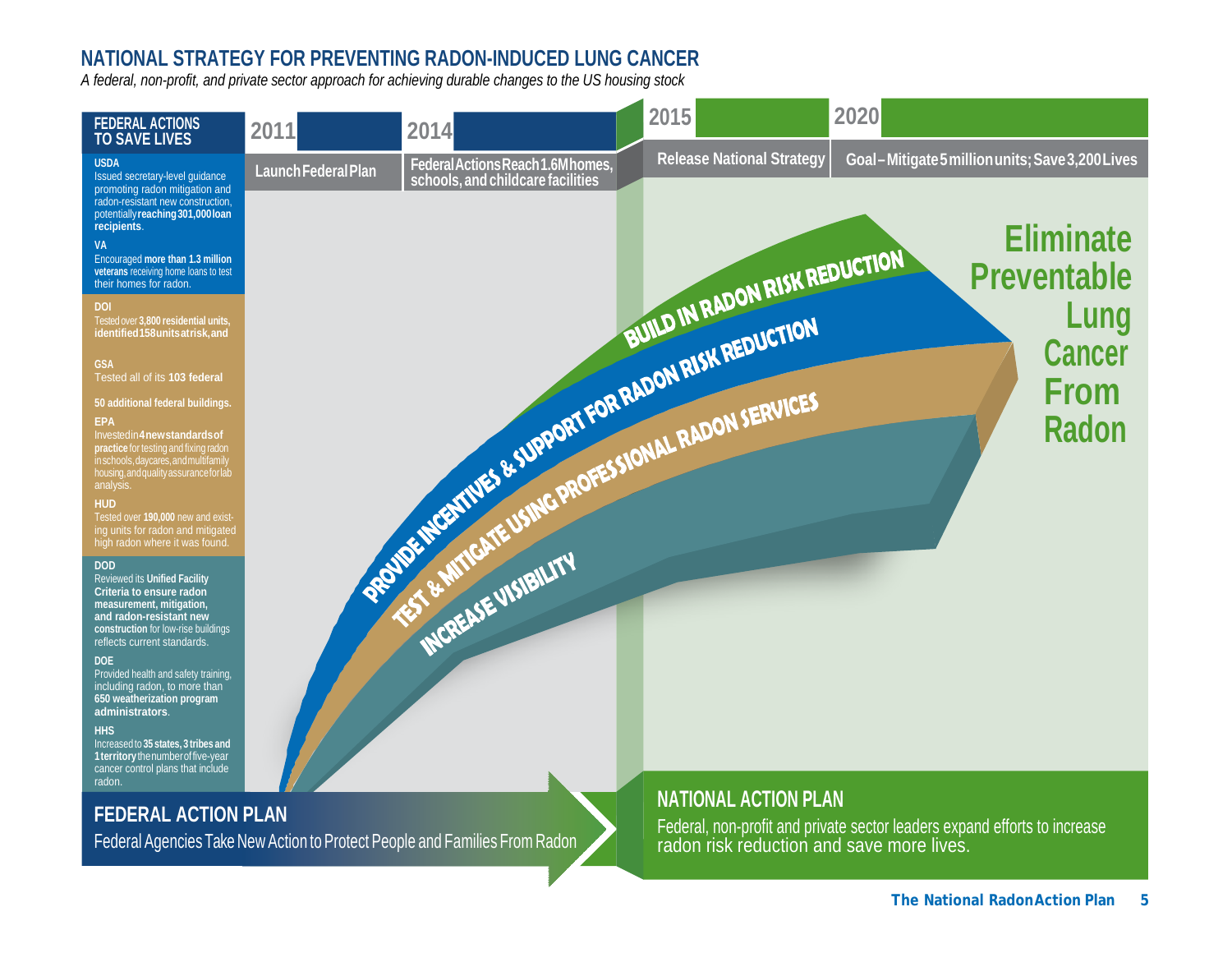#### **NATIONAL STRATEGY FOR PREVENTING RADON-INDUCED LUNG CANCER**

*A federal, non-profit, and private sector approach for achieving durable changes to the US housing stock*

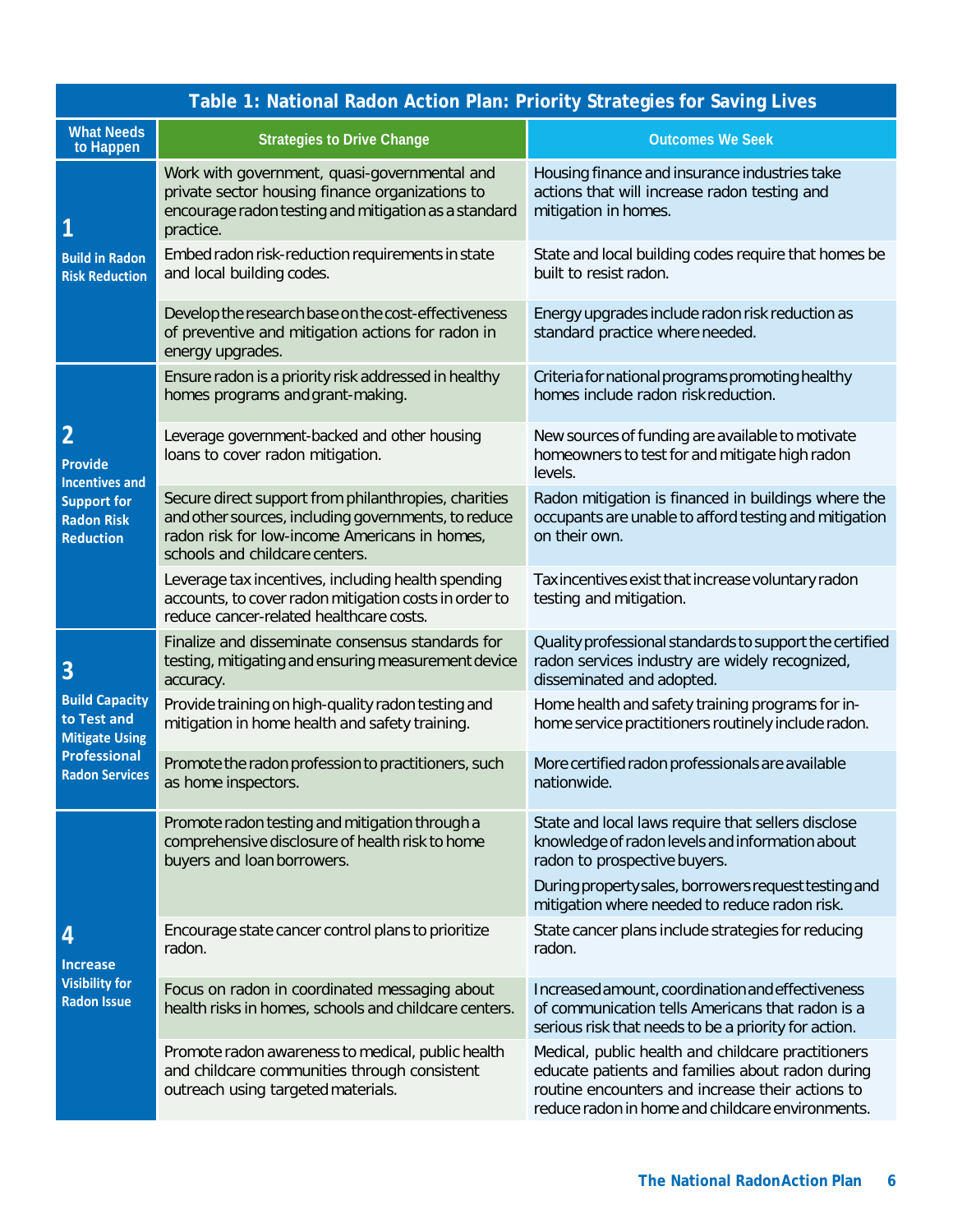| Table 1: National Radon Action Plan: Priority Strategies for Saving Lives                                                |                                                                                                                                                                                                |                                                                                                                                                                                                                |
|--------------------------------------------------------------------------------------------------------------------------|------------------------------------------------------------------------------------------------------------------------------------------------------------------------------------------------|----------------------------------------------------------------------------------------------------------------------------------------------------------------------------------------------------------------|
| <b>What Needs</b><br>to Happen                                                                                           | <b>Strategies to Drive Change</b>                                                                                                                                                              | <b>Outcomes We Seek</b>                                                                                                                                                                                        |
| 1<br><b>Build in Radon</b><br><b>Risk Reduction</b>                                                                      | Work with government, quasi-governmental and<br>private sector housing finance organizations to<br>encourage radon testing and mitigation as a standard<br>practice.                           | Housing finance and insurance industries take<br>actions that will increase radon testing and<br>mitigation in homes.                                                                                          |
|                                                                                                                          | Embed radon risk-reduction requirements in state<br>and local building codes.                                                                                                                  | State and local building codes require that homes be<br>built to resist radon.                                                                                                                                 |
|                                                                                                                          | Develop the research base on the cost-effectiveness<br>of preventive and mitigation actions for radon in<br>energy upgrades.                                                                   | Energy upgrades include radon risk reduction as<br>standard practice where needed.                                                                                                                             |
| $\overline{2}$<br><b>Provide</b><br><b>Incentives and</b><br><b>Support for</b><br><b>Radon Risk</b><br><b>Reduction</b> | Ensure radon is a priority risk addressed in healthy<br>homes programs and grant-making.                                                                                                       | Criteria for national programs promoting healthy<br>homes include radon risk reduction.                                                                                                                        |
|                                                                                                                          | Leverage government-backed and other housing<br>loans to cover radon mitigation.                                                                                                               | New sources of funding are available to motivate<br>homeowners to test for and mitigate high radon<br>levels.                                                                                                  |
|                                                                                                                          | Secure direct support from philanthropies, charities<br>and other sources, including governments, to reduce<br>radon risk for low-income Americans in homes,<br>schools and childcare centers. | Radon mitigation is financed in buildings where the<br>occupants are unable to afford testing and mitigation<br>on their own.                                                                                  |
|                                                                                                                          | Leverage tax incentives, including health spending<br>accounts, to cover radon mitigation costs in order to<br>reduce cancer-related healthcare costs.                                         | Tax incentives exist that increase voluntary radon<br>testing and mitigation.                                                                                                                                  |
| 3                                                                                                                        | Finalize and disseminate consensus standards for<br>testing, mitigating and ensuring measurement device<br>accuracy.                                                                           | Quality professional standards to support the certified<br>radon services industry are widely recognized,<br>disseminated and adopted.                                                                         |
| <b>Build Capacity</b><br>to Test and<br><b>Mitigate Using</b>                                                            | Provide training on high-quality radon testing and<br>mitigation in home health and safety training.                                                                                           | Home health and safety training programs for in-<br>home service practitioners routinely include radon.                                                                                                        |
| <b>Professional</b><br><b>Radon Services</b>                                                                             | Promote the radon profession to practitioners, such<br>as home inspectors.                                                                                                                     | More certified radon professionals are available<br>nationwide.                                                                                                                                                |
| 4<br><b>Increase</b><br><b>Visibility for</b><br><b>Radon Issue</b>                                                      | Promote radon testing and mitigation through a<br>comprehensive disclosure of health risk to home<br>buyers and loan borrowers.                                                                | State and local laws require that sellers disclose<br>knowledge of radon levels and information about<br>radon to prospective buyers.                                                                          |
|                                                                                                                          |                                                                                                                                                                                                | During property sales, borrowers request testing and<br>mitigation where needed to reduce radon risk.                                                                                                          |
|                                                                                                                          | Encourage state cancer control plans to prioritize<br>radon.                                                                                                                                   | State cancer plans include strategies for reducing<br>radon.                                                                                                                                                   |
|                                                                                                                          | Focus on radon in coordinated messaging about<br>health risks in homes, schools and childcare centers.                                                                                         | Increased amount, coordination and effectiveness<br>of communication tells Americans that radon is a<br>serious risk that needs to be a priority for action.                                                   |
|                                                                                                                          | Promote radon awareness to medical, public health<br>and childcare communities through consistent<br>outreach using targeted materials.                                                        | Medical, public health and childcare practitioners<br>educate patients and families about radon during<br>routine encounters and increase their actions to<br>reduce radon in home and childcare environments. |